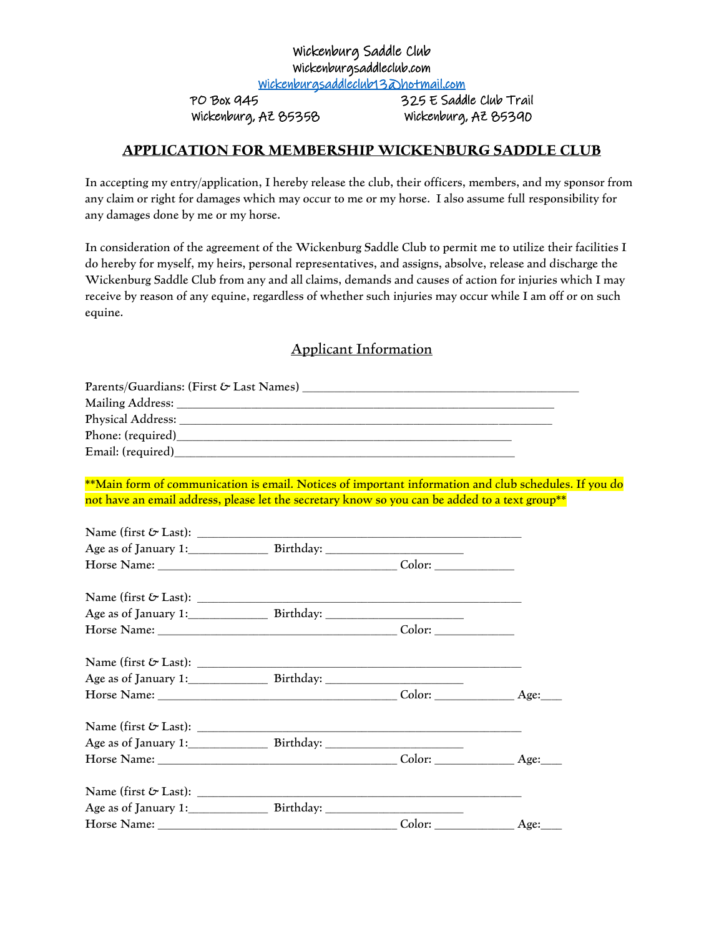## Wickenburg Saddle Club Wickenburgsaddleclub.com

[Wickenburgsaddleclub13@hotmail.com](mailto:Wickenburgsaddleclub13@hotmail.com) 

PO Box 945 325 E Saddle Club Trail Wickenburg, AZ 85358 Wickenburg, AZ 85390

## **APPLICATION FOR MEMBERSHIP WICKENBURG SADDLE CLUB**

In accepting my entry/application, I hereby release the club, their officers, members, and my sponsor from any claim or right for damages which may occur to me or my horse. I also assume full responsibility for any damages done by me or my horse.

In consideration of the agreement of the Wickenburg Saddle Club to permit me to utilize their facilities I do hereby for myself, my heirs, personal representatives, and assigns, absolve, release and discharge the Wickenburg Saddle Club from any and all claims, demands and causes of action for injuries which I may receive by reason of any equine, regardless of whether such injuries may occur while I am off or on such equine.

## Applicant Information

| **Main form of communication is email. Notices of important information and club schedules. If you do |  |      |
|-------------------------------------------------------------------------------------------------------|--|------|
| not have an email address, please let the secretary know so you can be added to a text group**        |  |      |
|                                                                                                       |  |      |
|                                                                                                       |  |      |
|                                                                                                       |  |      |
|                                                                                                       |  |      |
|                                                                                                       |  |      |
| Age as of January 1: Birthday: 2008. 2009. 2010.                                                      |  |      |
|                                                                                                       |  |      |
|                                                                                                       |  |      |
| Age as of January 1: Birthday: 2008                                                                   |  |      |
|                                                                                                       |  |      |
|                                                                                                       |  |      |
|                                                                                                       |  |      |
| Horse Name: <u>Age:</u> Color: Age: Age:                                                              |  |      |
|                                                                                                       |  |      |
|                                                                                                       |  |      |
|                                                                                                       |  |      |
|                                                                                                       |  | Age: |